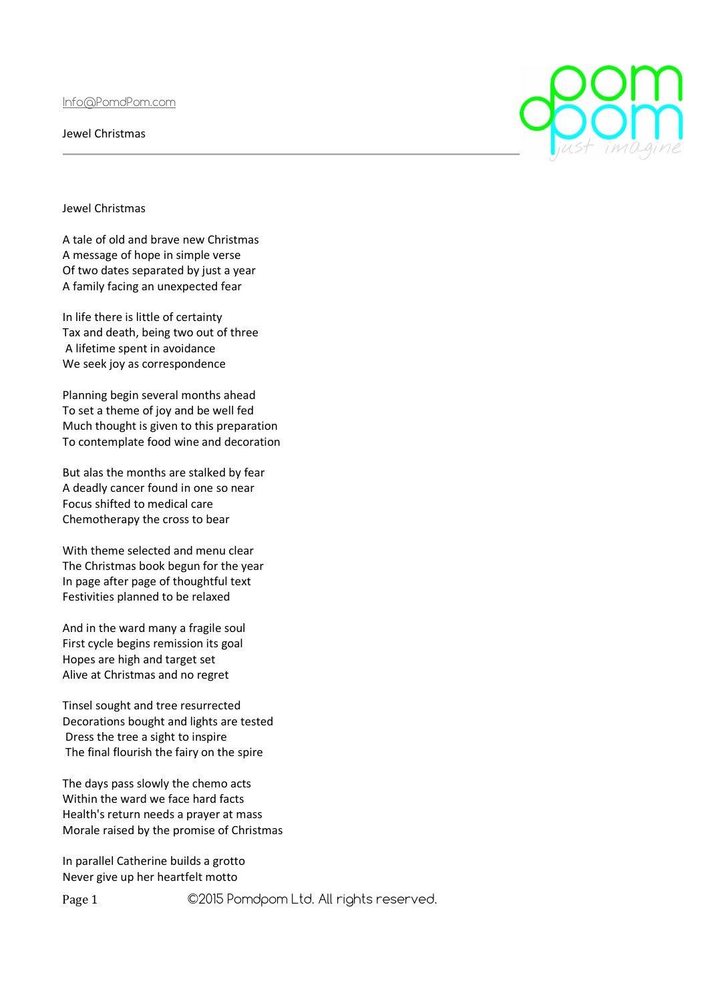Info@PomdPom.com

Jewel Christmas

Jewel Christmas

A tale of old and brave new Christmas A message of hope in simple verse Of two dates separated by just a year A family facing an unexpected fear

In life there is little of certainty Tax and death, being two out of three A lifetime spent in avoidance We seek joy as correspondence

Planning begin several months ahead To set a theme of joy and be well fed Much thought is given to this preparation To contemplate food wine and decoration

But alas the months are stalked by fear A deadly cancer found in one so near Focus shifted to medical care Chemotherapy the cross to bear

With theme selected and menu clear The Christmas book begun for the year In page after page of thoughtful text Festivities planned to be relaxed

And in the ward many a fragile soul First cycle begins remission its goal Hopes are high and target set Alive at Christmas and no regret

Tinsel sought and tree resurrected Decorations bought and lights are tested Dress the tree a sight to inspire The final flourish the fairy on the spire

The days pass slowly the chemo acts Within the ward we face hard facts Health's return needs a prayer at mass Morale raised by the promise of Christmas

In parallel Catherine builds a grotto Never give up her heartfelt motto

Page 1 ©2015 Pomdpom Ltd. All rights reserved.